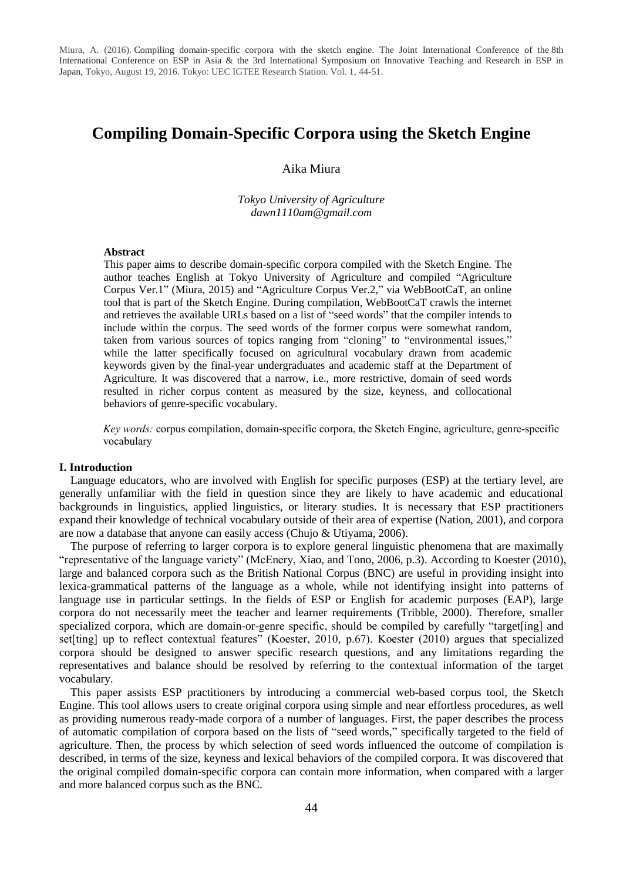# **Compiling Domain-Specific Corpora using the Sketch Engine**

# Aika Miura

*Tokyo University of Agriculture dawn1110am@gmail.com*

#### **Abstract**

This paper aims to describe domain-specific corpora compiled with the Sketch Engine. The author teaches English at Tokyo University of Agriculture and compiled "Agriculture Corpus Ver.1" (Miura, 2015) and "Agriculture Corpus Ver.2," via WebBootCaT, an online tool that is part of the Sketch Engine. During compilation, WebBootCaT crawls the internet and retrieves the available URLs based on a list of "seed words" that the compiler intends to include within the corpus. The seed words of the former corpus were somewhat random, taken from various sources of topics ranging from "cloning" to "environmental issues," while the latter specifically focused on agricultural vocabulary drawn from academic keywords given by the final-year undergraduates and academic staff at the Department of Agriculture. It was discovered that a narrow, i.e., more restrictive, domain of seed words resulted in richer corpus content as measured by the size, keyness, and collocational behaviors of genre-specific vocabulary.

*Key words:* corpus compilation, domain-specific corpora, the Sketch Engine, agriculture, genre-specific vocabulary

#### **I. Introduction**

Language educators, who are involved with English for specific purposes (ESP) at the tertiary level, are generally unfamiliar with the field in question since they are likely to have academic and educational backgrounds in linguistics, applied linguistics, or literary studies. It is necessary that ESP practitioners expand their knowledge of technical vocabulary outside of their area of expertise (Nation, 2001), and corpora are now a database that anyone can easily access (Chujo & Utiyama, 2006).

The purpose of referring to larger corpora is to explore general linguistic phenomena that are maximally "representative of the language variety" (McEnery, Xiao, and Tono, 2006, p.3). According to Koester (2010), large and balanced corpora such as the British National Corpus (BNC) are useful in providing insight into lexica-grammatical patterns of the language as a whole, while not identifying insight into patterns of language use in particular settings. In the fields of ESP or English for academic purposes (EAP), large corpora do not necessarily meet the teacher and learner requirements (Tribble, 2000). Therefore, smaller specialized corpora, which are domain-or-genre specific, should be compiled by carefully "target[ing] and set[ting] up to reflect contextual features" (Koester, 2010, p.67). Koester (2010) argues that specialized corpora should be designed to answer specific research questions, and any limitations regarding the representatives and balance should be resolved by referring to the contextual information of the target vocabulary.

This paper assists ESP practitioners by introducing a commercial web-based corpus tool, the Sketch Engine. This tool allows users to create original corpora using simple and near effortless procedures, as well as providing numerous ready-made corpora of a number of languages. First, the paper describes the process of automatic compilation of corpora based on the lists of "seed words," specifically targeted to the field of agriculture. Then, the process by which selection of seed words influenced the outcome of compilation is described, in terms of the size, keyness and lexical behaviors of the compiled corpora. It was discovered that the original compiled domain-specific corpora can contain more information, when compared with a larger and more balanced corpus such as the BNC.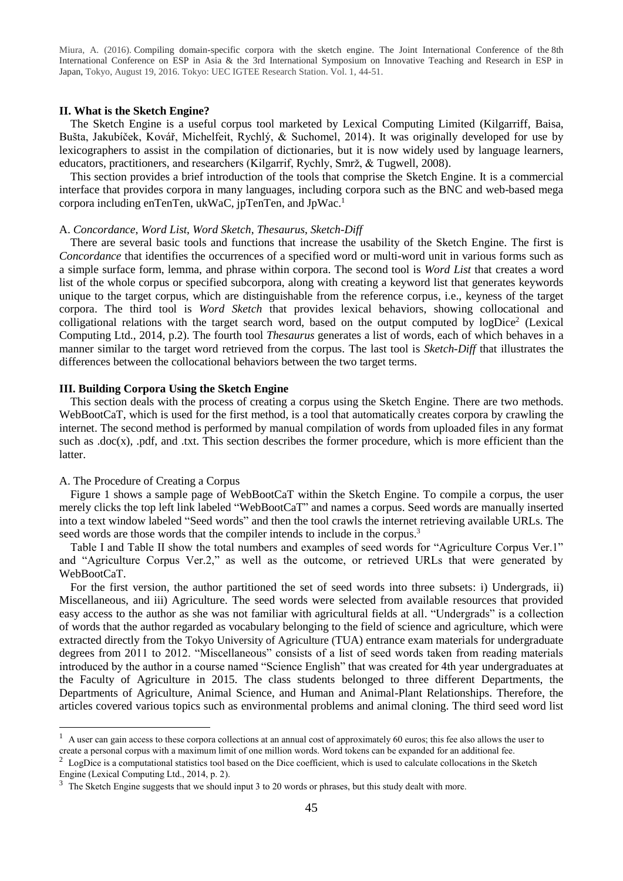### **II. What is the Sketch Engine?**

The Sketch Engine is a useful corpus tool marketed by Lexical Computing Limited (Kilgarriff, Baisa, Bušta, Jakubíček, Kovář, Michelfeit, Rychlý, & Suchomel, 2014). It was originally developed for use by lexicographers to assist in the compilation of dictionaries, but it is now widely used by language learners, educators, practitioners, and researchers (Kilgarrif, Rychly, Smrž, & Tugwell, 2008).

This section provides a brief introduction of the tools that comprise the Sketch Engine. It is a commercial interface that provides corpora in many languages, including corpora such as the BNC and web-based mega corpora including enTenTen, ukWaC, jpTenTen, and JpWac.<sup>1</sup>

#### A. *Concordance*, *Word List*, *Word Sketch*, *Thesaurus*, *Sketch-Diff*

There are several basic tools and functions that increase the usability of the Sketch Engine. The first is *Concordance* that identifies the occurrences of a specified word or multi-word unit in various forms such as a simple surface form, lemma, and phrase within corpora. The second tool is *Word List* that creates a word list of the whole corpus or specified subcorpora, along with creating a keyword list that generates keywords unique to the target corpus, which are distinguishable from the reference corpus, i.e., keyness of the target corpora. The third tool is *Word Sketch* that provides lexical behaviors, showing collocational and colligational relations with the target search word, based on the output computed by logDice<sup>2</sup> (Lexical Computing Ltd., 2014, p.2). The fourth tool *Thesaurus* generates a list of words, each of which behaves in a manner similar to the target word retrieved from the corpus. The last tool is *Sketch-Diff* that illustrates the differences between the collocational behaviors between the two target terms.

# **III. Building Corpora Using the Sketch Engine**

This section deals with the process of creating a corpus using the Sketch Engine. There are two methods. WebBootCaT, which is used for the first method, is a tool that automatically creates corpora by crawling the internet. The second method is performed by manual compilation of words from uploaded files in any format such as .doc(x), .pdf, and .txt. This section describes the former procedure, which is more efficient than the latter.

#### A. The Procedure of Creating a Corpus

-

Figure 1 shows a sample page of WebBootCaT within the Sketch Engine. To compile a corpus, the user merely clicks the top left link labeled "WebBootCaT" and names a corpus. Seed words are manually inserted into a text window labeled "Seed words" and then the tool crawls the internet retrieving available URLs. The seed words are those words that the compiler intends to include in the corpus.<sup>3</sup>

Table I and Table II show the total numbers and examples of seed words for "Agriculture Corpus Ver.1" and "Agriculture Corpus Ver.2," as well as the outcome, or retrieved URLs that were generated by WebBootCaT.

For the first version, the author partitioned the set of seed words into three subsets: i) Undergrads, ii) Miscellaneous, and iii) Agriculture. The seed words were selected from available resources that provided easy access to the author as she was not familiar with agricultural fields at all. "Undergrads" is a collection of words that the author regarded as vocabulary belonging to the field of science and agriculture, which were extracted directly from the Tokyo University of Agriculture (TUA) entrance exam materials for undergraduate degrees from 2011 to 2012. "Miscellaneous" consists of a list of seed words taken from reading materials introduced by the author in a course named "Science English" that was created for 4th year undergraduates at the Faculty of Agriculture in 2015. The class students belonged to three different Departments, the Departments of Agriculture, Animal Science, and Human and Animal-Plant Relationships. Therefore, the articles covered various topics such as environmental problems and animal cloning. The third seed word list

<sup>&</sup>lt;sup>1</sup> A user can gain access to these corpora collections at an annual cost of approximately 60 euros; this fee also allows the user to create a personal corpus with a maximum limit of one million words. Word tokens can be expanded for an additional fee.

<sup>&</sup>lt;sup>2</sup> LogDice is a computational statistics tool based on the Dice coefficient, which is used to calculate collocations in the Sketch Engine (Lexical Computing Ltd., 2014, p. 2).

 $3$  The Sketch Engine suggests that we should input 3 to 20 words or phrases, but this study dealt with more.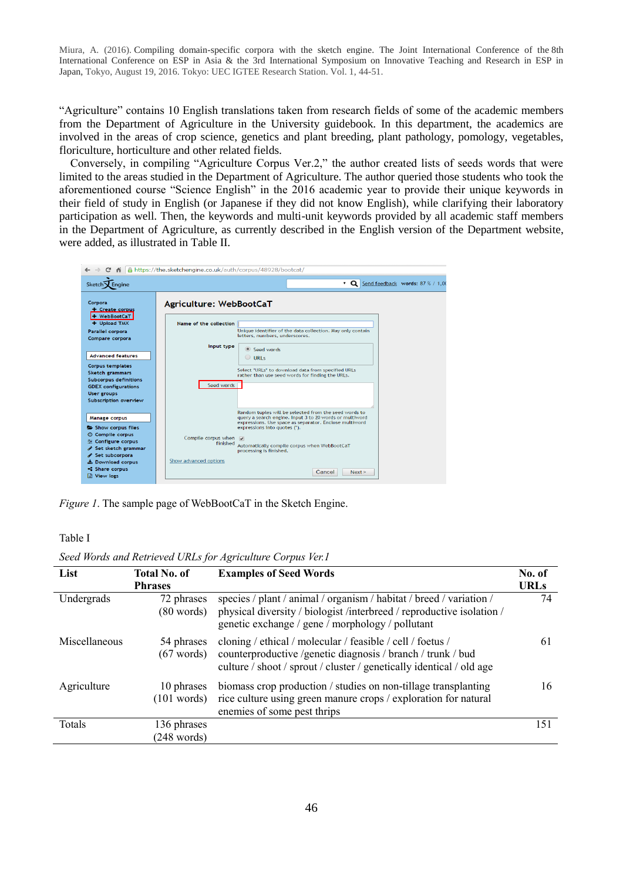"Agriculture" contains 10 English translations taken from research fields of some of the academic members from the Department of Agriculture in the University guidebook. In this department, the academics are involved in the areas of crop science, genetics and plant breeding, plant pathology, pomology, vegetables, floriculture, horticulture and other related fields.

Conversely, in compiling "Agriculture Corpus Ver.2," the author created lists of seeds words that were limited to the areas studied in the Department of Agriculture. The author queried those students who took the aforementioned course "Science English" in the 2016 academic year to provide their unique keywords in their field of study in English (or Japanese if they did not know English), while clarifying their laboratory participation as well. Then, the keywords and multi-unit keywords provided by all academic staff members in the Department of Agriculture, as currently described in the English version of the Department website, were added, as illustrated in Table II.



*Figure 1*. The sample page of WebBootCaT in the Sketch Engine.

Table I

*Seed Words and Retrieved URLs for Agriculture Corpus Ver.1* 

| List          | <b>Total No. of</b><br><b>Phrases</b> | <b>Examples of Seed Words</b>                                                                                                                                                                     | No. of<br><b>URLs</b> |
|---------------|---------------------------------------|---------------------------------------------------------------------------------------------------------------------------------------------------------------------------------------------------|-----------------------|
| Undergrads    | 72 phrases<br>$(80 \text{ words})$    | species / plant / animal / organism / habitat / breed / variation /<br>physical diversity / biologist /interbreed / reproductive isolation /<br>genetic exchange / gene / morphology / pollutant  | 74                    |
| Miscellaneous | 54 phrases<br>$(67 \text{ words})$    | cloning / ethical / molecular / feasible / cell / foetus /<br>counterproductive /genetic diagnosis / branch / trunk / bud<br>culture / shoot / sprout / cluster / genetically identical / old age | 61                    |
| Agriculture   | 10 phrases<br>$(101 \text{ words})$   | biomass crop production / studies on non-tillage transplanting<br>rice culture using green manure crops / exploration for natural<br>enemies of some pest thrips                                  | 16                    |
| Totals        | 136 phrases<br>$(248 \text{ words})$  |                                                                                                                                                                                                   | 151                   |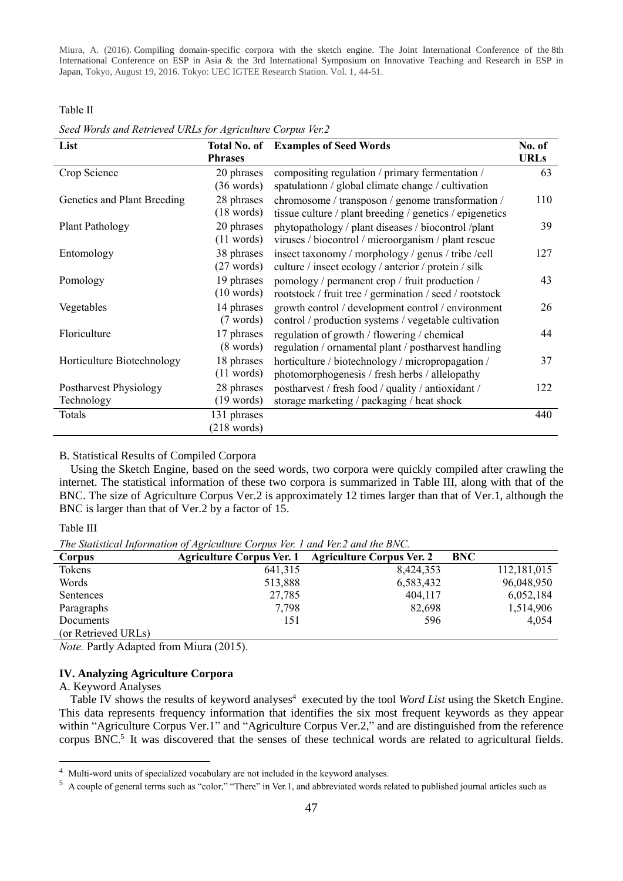Table II

*Seed Words and Retrieved URLs for Agriculture Corpus Ver.2* 

| List                        | Total No. of          | <b>Examples of Seed Words</b>                            | No. of      |
|-----------------------------|-----------------------|----------------------------------------------------------|-------------|
|                             | <b>Phrases</b>        |                                                          | <b>URLs</b> |
| Crop Science                | 20 phrases            | compositing regulation / primary fermentation /          | 63          |
|                             | $(36 \text{ words})$  | spatulationn / global climate change / cultivation       |             |
| Genetics and Plant Breeding | 28 phrases            | chromosome / transposon / genome transformation /        | 110         |
|                             | $(18 \text{ words})$  | tissue culture / plant breeding / genetics / epigenetics |             |
| Plant Pathology             | 20 phrases            | phytopathology / plant diseases / biocontrol /plant      | 39          |
|                             | (11 words)            | viruses / biocontrol / microorganism / plant rescue      |             |
| Entomology                  | 38 phrases            | insect taxonomy / morphology / genus / tribe / cell      | 127         |
|                             | $(27 \text{ words})$  | culture / insect ecology / anterior / protein / silk     |             |
| Pomology                    | 19 phrases            | pomology / permanent crop / fruit production /           | 43          |
|                             | (10 words)            | rootstock / fruit tree / germination / seed / rootstock  |             |
| Vegetables                  | 14 phrases            | growth control / development control / environment       | 26          |
|                             | (7 words)             | control / production systems / vegetable cultivation     |             |
| Floriculture                | 17 phrases            | regulation of growth / flowering / chemical              | 44          |
|                             | $(8 \text{ words})$   | regulation / ornamental plant / postharvest handling     |             |
| Horticulture Biotechnology  | 18 phrases            | horticulture / biotechnology / micropropagation /        | 37          |
|                             | (11 words)            | photomorphogenesis / fresh herbs / allelopathy           |             |
| Postharvest Physiology      | 28 phrases            | postharvest / fresh food / quality / antioxidant /       | 122         |
| Technology                  | $(19 \text{ words})$  | storage marketing / packaging / heat shock               |             |
| Totals                      | 131 phrases           |                                                          | 440         |
|                             | $(218 \text{ words})$ |                                                          |             |

# B. Statistical Results of Compiled Corpora

Using the Sketch Engine, based on the seed words, two corpora were quickly compiled after crawling the internet. The statistical information of these two corpora is summarized in Table III, along with that of the BNC. The size of Agriculture Corpus Ver.2 is approximately 12 times larger than that of Ver.1, although the BNC is larger than that of Ver.2 by a factor of 15.

Table III

*The Statistical Information of Agriculture Corpus Ver. 1 and Ver.2 and the BNC.* 

| The budget information of her team to corpus Tel. I and Tel.2 and the DiVe. |         |                                                     |             |  |  |  |  |  |  |
|-----------------------------------------------------------------------------|---------|-----------------------------------------------------|-------------|--|--|--|--|--|--|
| Corpus                                                                      |         | Agriculture Corpus Ver. 1 Agriculture Corpus Ver. 2 | <b>BNC</b>  |  |  |  |  |  |  |
| Tokens                                                                      | 641,315 | 8,424,353                                           | 112,181,015 |  |  |  |  |  |  |
| Words                                                                       | 513,888 | 6,583,432                                           | 96,048,950  |  |  |  |  |  |  |
| Sentences                                                                   | 27,785  | 404,117                                             | 6,052,184   |  |  |  |  |  |  |
| Paragraphs                                                                  | 7,798   | 82,698                                              | 1,514,906   |  |  |  |  |  |  |
| Documents                                                                   | 151     | 596                                                 | 4,054       |  |  |  |  |  |  |
| (or Retrieved URLs)                                                         |         |                                                     |             |  |  |  |  |  |  |

*Note.* Partly Adapted from Miura (2015).

# **IV. Analyzing Agriculture Corpora**

A. Keyword Analyses

<u>.</u>

Table IV shows the results of keyword analyses<sup>4</sup> executed by the tool *Word List* using the Sketch Engine. This data represents frequency information that identifies the six most frequent keywords as they appear within "Agriculture Corpus Ver.1" and "Agriculture Corpus Ver.2," and are distinguished from the reference corpus BNC.<sup>5</sup> It was discovered that the senses of these technical words are related to agricultural fields.

<sup>4</sup> Multi-word units of specialized vocabulary are not included in the keyword analyses.

 $5$  A couple of general terms such as "color," "There" in Ver.1, and abbreviated words related to published journal articles such as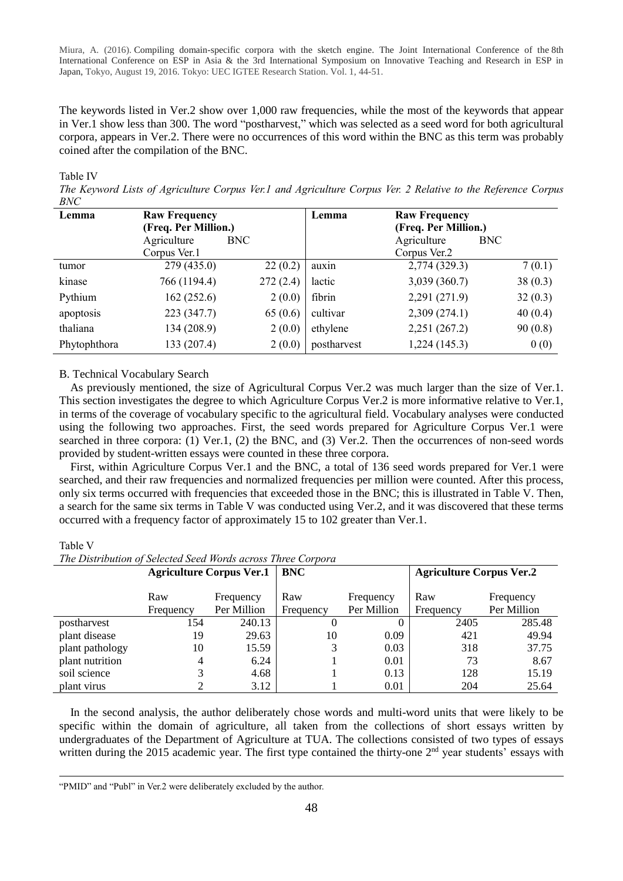The keywords listed in Ver.2 show over 1,000 raw frequencies, while the most of the keywords that appear in Ver.1 show less than 300. The word "postharvest," which was selected as a seed word for both agricultural corpora, appears in Ver.2. There were no occurrences of this word within the BNC as this term was probably coined after the compilation of the BNC.

Table IV

*The Keyword Lists of Agriculture Corpus Ver.1 and Agriculture Corpus Ver. 2 Relative to the Reference Corpus BNC*

| <b>Raw Frequency</b><br>(Freq. Per Million.) |            | Lemma       | <b>Raw Frequency</b> |                      |
|----------------------------------------------|------------|-------------|----------------------|----------------------|
| Agriculture                                  | <b>BNC</b> |             | Agriculture          | BNC                  |
| Corpus Ver.1                                 |            |             | Corpus Ver.2         |                      |
| 279(435.0)                                   | 22(0.2)    | auxin       | 2,774 (329.3)        | 7(0.1)               |
| 766 (1194.4)                                 | 272(2.4)   | lactic      | 3,039 (360.7)        | 38(0.3)              |
| 162(252.6)                                   | 2(0.0)     | fibrin      | 2,291 (271.9)        | 32(0.3)              |
| 223 (347.7)                                  | 65(0.6)    | cultivar    | 2,309(274.1)         | 40(0.4)              |
| 134 (208.9)                                  | 2(0.0)     | ethylene    | 2,251 (267.2)        | 90(0.8)              |
| 133 (207.4)                                  | 2(0.0)     | postharvest | 1,224(145.3)         | 0(0)                 |
|                                              |            |             |                      | (Freq. Per Million.) |

### B. Technical Vocabulary Search

As previously mentioned, the size of Agricultural Corpus Ver.2 was much larger than the size of Ver.1. This section investigates the degree to which Agriculture Corpus Ver.2 is more informative relative to Ver.1, in terms of the coverage of vocabulary specific to the agricultural field. Vocabulary analyses were conducted using the following two approaches. First, the seed words prepared for Agriculture Corpus Ver.1 were searched in three corpora: (1) Ver.1, (2) the BNC, and (3) Ver.2. Then the occurrences of non-seed words provided by student-written essays were counted in these three corpora.

First, within Agriculture Corpus Ver.1 and the BNC, a total of 136 seed words prepared for Ver.1 were searched, and their raw frequencies and normalized frequencies per million were counted. After this process, only six terms occurred with frequencies that exceeded those in the BNC; this is illustrated in Table V. Then, a search for the same six terms in Table V was conducted using Ver.2, and it was discovered that these terms occurred with a frequency factor of approximately 15 to 102 greater than Ver.1.

# Table V

-

*The Distribution of Selected Seed Words across Three Corpora* 

|                 |                  | <b>Agriculture Corpus Ver.1</b> | <b>BNC</b>       |                          | <b>Agriculture Corpus Ver.2</b> |                          |  |
|-----------------|------------------|---------------------------------|------------------|--------------------------|---------------------------------|--------------------------|--|
|                 | Raw<br>Frequency | Frequency<br>Per Million        | Raw<br>Frequency | Frequency<br>Per Million | Raw<br>Frequency                | Frequency<br>Per Million |  |
| postharvest     | 154              | 240.13                          |                  |                          | 2405                            | 285.48                   |  |
| plant disease   | 19               | 29.63                           | 10               | 0.09                     | 421                             | 49.94                    |  |
| plant pathology | 10               | 15.59                           | 3                | 0.03                     | 318                             | 37.75                    |  |
| plant nutrition | 4                | 6.24                            |                  | 0.01                     | 73                              | 8.67                     |  |
| soil science    |                  | 4.68                            |                  | 0.13                     | 128                             | 15.19                    |  |
| plant virus     |                  | 3.12                            |                  | 0.01                     | 204                             | 25.64                    |  |

In the second analysis, the author deliberately chose words and multi-word units that were likely to be specific within the domain of agriculture, all taken from the collections of short essays written by undergraduates of the Department of Agriculture at TUA. The collections consisted of two types of essays written during the 2015 academic year. The first type contained the thirty-one  $2<sup>nd</sup>$  year students' essays with

<sup>&</sup>quot;PMID" and "Publ" in Ver.2 were deliberately excluded by the author.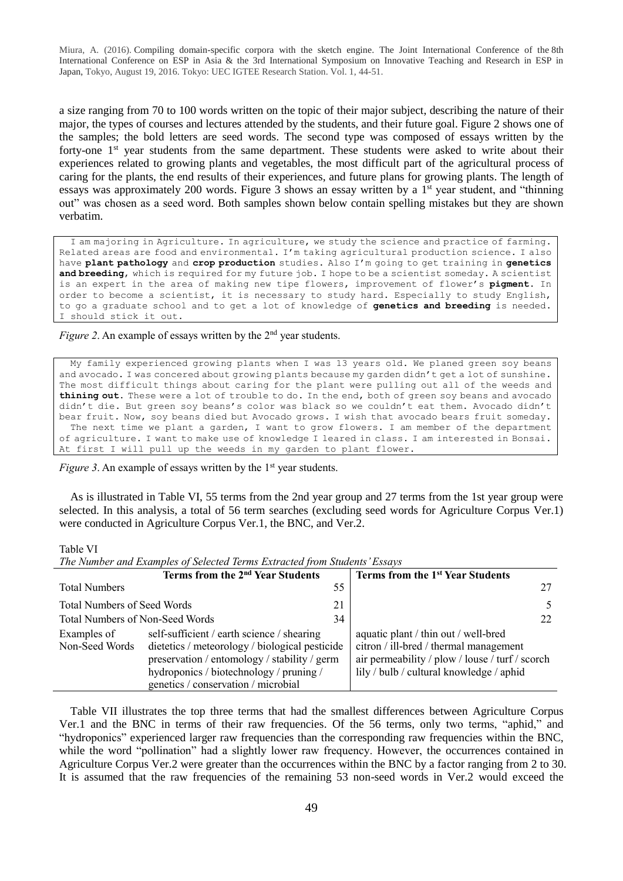a size ranging from 70 to 100 words written on the topic of their major subject, describing the nature of their major, the types of courses and lectures attended by the students, and their future goal. Figure 2 shows one of the samples; the bold letters are seed words. The second type was composed of essays written by the forty-one 1<sup>st</sup> year students from the same department. These students were asked to write about their experiences related to growing plants and vegetables, the most difficult part of the agricultural process of caring for the plants, the end results of their experiences, and future plans for growing plants. The length of essays was approximately 200 words. Figure 3 shows an essay written by a 1<sup>st</sup> year student, and "thinning out" was chosen as a seed word. Both samples shown below contain spelling mistakes but they are shown verbatim.

I am majoring in Agriculture. In agriculture, we study the science and practice of farming. Related areas are food and environmental. I'm taking agricultural production science. I also have **plant pathology** and **crop production** studies. Also I'm going to get training in **genetics and breeding**, which is required for my future job. I hope to be a scientist someday. A scientist is an expert in the area of making new tipe flowers, improvement of flower's **pigment**. In order to become a scientist, it is necessary to study hard. Especially to study English, to go a graduate school and to get a lot of knowledge of **genetics and breeding** is needed. I should stick it out.

# *Figure 2.* An example of essays written by the 2<sup>nd</sup> year students.

My family experienced growing plants when I was 13 years old. We planed green soy beans and avocado. I was concered about growing plants because my garden didn't get a lot of sunshine. The most difficult things about caring for the plant were pulling out all of the weeds and **thining out**. These were a lot of trouble to do. In the end, both of green soy beans and avocado didn't die. But green soy beans's color was black so we couldn't eat them. Avocado didn't bear fruit. Now, soy beans died but Avocado grows. I wish that avocado bears fruit someday. The next time we plant a garden, I want to grow flowers. I am member of the department of agriculture. I want to make use of knowledge I leared in class. I am interested in Bonsai. At first I will pull up the weeds in my garden to plant flower.

*Figure 3.* An example of essays written by the 1<sup>st</sup> year students.

As is illustrated in Table VI, 55 terms from the 2nd year group and 27 terms from the 1st year group were selected. In this analysis, a total of 56 term searches (excluding seed words for Agriculture Corpus Ver.1) were conducted in Agriculture Corpus Ver.1, the BNC, and Ver.2.

#### Table VI

*The Number and Examples of Selected Terms Extracted from Students' Essays*

|                                          | The Thursday Mill Divenibles of Selection for the Divisions from Statements Description                                                                                                                                        |    |                                                                                                                                                                               |
|------------------------------------------|--------------------------------------------------------------------------------------------------------------------------------------------------------------------------------------------------------------------------------|----|-------------------------------------------------------------------------------------------------------------------------------------------------------------------------------|
|                                          | Terms from the 2 <sup>nd</sup> Year Students                                                                                                                                                                                   |    | Terms from the 1 <sup>st</sup> Year Students                                                                                                                                  |
| <b>Total Numbers</b>                     |                                                                                                                                                                                                                                | 55 |                                                                                                                                                                               |
| <b>Total Numbers of Seed Words</b><br>21 |                                                                                                                                                                                                                                |    |                                                                                                                                                                               |
| Total Numbers of Non-Seed Words<br>34    |                                                                                                                                                                                                                                |    | 22                                                                                                                                                                            |
| Examples of<br>Non-Seed Words            | self-sufficient / earth science / shearing<br>dietetics / meteorology / biological pesticide<br>preservation / entomology / stability / germ<br>hydroponics / biotechnology / pruning /<br>genetics / conservation / microbial |    | aquatic plant / thin out / well-bred<br>citron / ill-bred / thermal management<br>air permeability / plow / louse / turf / scorch<br>lily / bulb / cultural knowledge / aphid |

Table VII illustrates the top three terms that had the smallest differences between Agriculture Corpus Ver.1 and the BNC in terms of their raw frequencies. Of the 56 terms, only two terms, "aphid," and "hydroponics" experienced larger raw frequencies than the corresponding raw frequencies within the BNC, while the word "pollination" had a slightly lower raw frequency. However, the occurrences contained in Agriculture Corpus Ver.2 were greater than the occurrences within the BNC by a factor ranging from 2 to 30. It is assumed that the raw frequencies of the remaining 53 non-seed words in Ver.2 would exceed the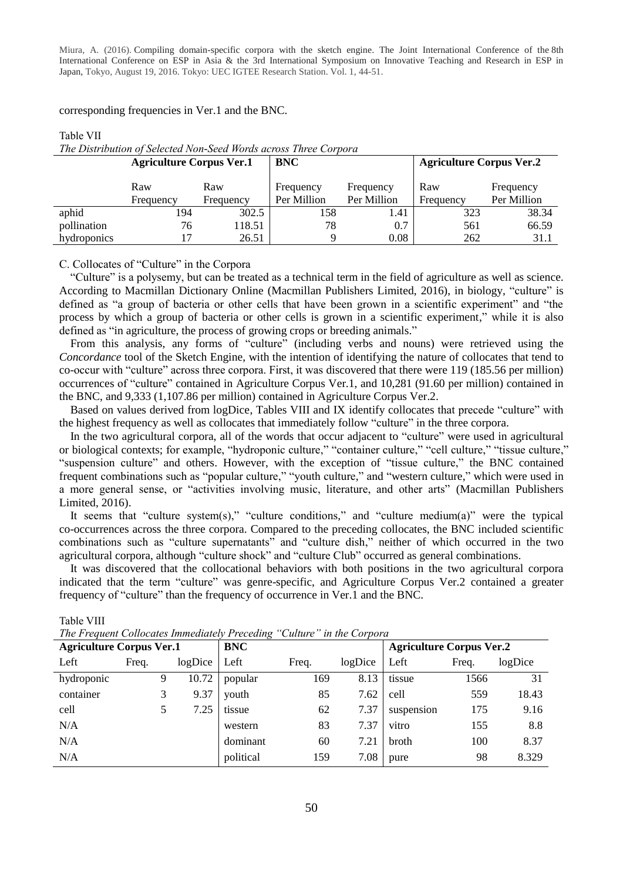corresponding frequencies in Ver.1 and the BNC.

Table VII

#### **Agriculture Corpus Ver.1 BNC Agriculture Corpus Ver.2** Raw Frequency Raw Frequency Frequency Per Million Frequency Per Million Raw Frequency Frequency Per Million aphid 194 302.5 158 1.41 323 38.34 pollination 76 118.51 78 0.7 561 66.59 hydroponics 17 26.51 9 0.08 262 31.1

# *The Distribution of Selected Non-Seed Words across Three Corpora*

C. Collocates of "Culture" in the Corpora

"Culture" is a polysemy, but can be treated as a technical term in the field of agriculture as well as science. According to Macmillan Dictionary Online (Macmillan Publishers Limited, 2016), in biology, "culture" is defined as "a group of bacteria or other cells that have been grown in a scientific experiment" and "the process by which a group of bacteria or other cells is grown in a scientific experiment," while it is also defined as "in agriculture, the process of growing crops or breeding animals."

From this analysis, any forms of "culture" (including verbs and nouns) were retrieved using the *Concordance* tool of the Sketch Engine, with the intention of identifying the nature of collocates that tend to co-occur with "culture" across three corpora. First, it was discovered that there were 119 (185.56 per million) occurrences of "culture" contained in Agriculture Corpus Ver.1, and 10,281 (91.60 per million) contained in the BNC, and 9,333 (1,107.86 per million) contained in Agriculture Corpus Ver.2.

Based on values derived from logDice, Tables VIII and IX identify collocates that precede "culture" with the highest frequency as well as collocates that immediately follow "culture" in the three corpora.

In the two agricultural corpora, all of the words that occur adjacent to "culture" were used in agricultural or biological contexts; for example, "hydroponic culture," "container culture," "cell culture," "tissue culture," "suspension culture" and others. However, with the exception of "tissue culture," the BNC contained frequent combinations such as "popular culture," "youth culture," and "western culture," which were used in a more general sense, or "activities involving music, literature, and other arts" (Macmillan Publishers Limited, 2016).

It seems that "culture system(s)," "culture conditions," and "culture medium(a)" were the typical co-occurrences across the three corpora. Compared to the preceding collocates, the BNC included scientific combinations such as "culture supernatants" and "culture dish," neither of which occurred in the two agricultural corpora, although "culture shock" and "culture Club" occurred as general combinations.

It was discovered that the collocational behaviors with both positions in the two agricultural corpora indicated that the term "culture" was genre-specific, and Agriculture Corpus Ver.2 contained a greater frequency of "culture" than the frequency of occurrence in Ver.1 and the BNC.

| The Frequent Conocates Immediately Freceding<br>Cutture in the Corpora |       |   |            |           |       |                                 |            |       |         |
|------------------------------------------------------------------------|-------|---|------------|-----------|-------|---------------------------------|------------|-------|---------|
| <b>Agriculture Corpus Ver.1</b>                                        |       |   | <b>BNC</b> |           |       | <b>Agriculture Corpus Ver.2</b> |            |       |         |
| Left                                                                   | Freq. |   | logDice    | Left      | Freq. | logDice                         | Left       | Freq. | logDice |
| hydroponic                                                             |       | 9 | 10.72      | popular   | 169   | 8.13                            | tissue     | 1566  | 31      |
| container                                                              |       | 3 | 9.37       | youth     | 85    | 7.62                            | cell       | 559   | 18.43   |
| cell                                                                   |       | 5 | 7.25       | tissue    | 62    | 7.37                            | suspension | 175   | 9.16    |
| N/A                                                                    |       |   |            | western   | 83    | 7.37                            | vitro      | 155   | 8.8     |
| N/A                                                                    |       |   |            | dominant  | 60    | 7.21                            | broth      | 100   | 8.37    |
| N/A                                                                    |       |   |            | political | 159   | 7.08                            | pure       | 98    | 8.329   |

Table VIII *The Frequent Collocates Immediately Preceding "Culture" in the Corpora*